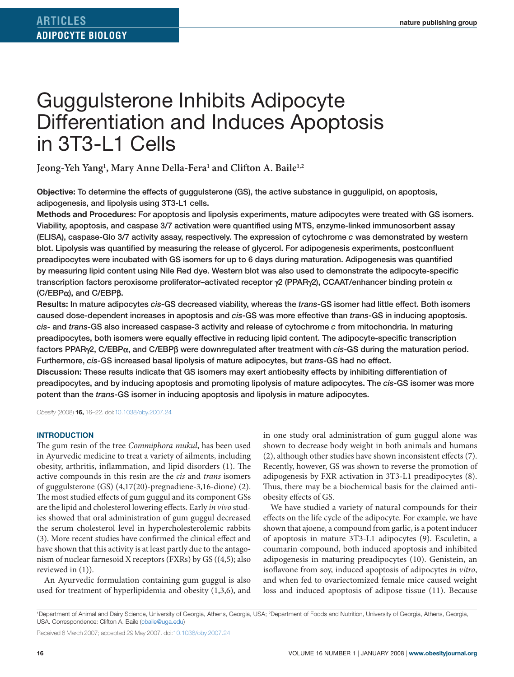# Guggulsterone Inhibits Adipocyte Differentiation and Induces Apoptosis in 3T3-L1 Cells

Jeong-Yeh Yang<sup>1</sup>, Mary Anne Della-Fera<sup>1</sup> and Clifton A. Baile<sup>1,2</sup>

**Objective:** To determine the effects of guggulsterone (GS), the active substance in guggulipid, on apoptosis, adipogenesis, and lipolysis using 3T3-L1 cells.

**Methods and Procedures:** For apoptosis and lipolysis experiments, mature adipocytes were treated with GS isomers. Viability, apoptosis, and caspase 3/7 activation were quantified using MTS, enzyme-linked immunosorbent assay (ELISA), caspase-Glo 3/7 activity assay, respectively. The expression of cytochrome *c* was demonstrated by western blot. Lipolysis was quantified by measuring the release of glycerol. For adipogenesis experiments, postconfluent preadipocytes were incubated with GS isomers for up to 6 days during maturation. Adipogenesis was quantified by measuring lipid content using Nile Red dye. Western blot was also used to demonstrate the adipocyte-specific transcription factors peroxisome proliferator–activated receptor γ2 (PPARγ2), CCAAT/enhancer binding protein α (C/EBPα), and C/EBPβ.

**Results:** In mature adipocytes *cis*-GS decreased viability, whereas the *trans*-GS isomer had little effect. Both isomers caused dose-dependent increases in apoptosis and *cis*-GS was more effective than *trans*-GS in inducing apoptosis. *cis*- and *trans*-GS also increased caspase-3 activity and release of cytochrome *c* from mitochondria. In maturing preadipocytes, both isomers were equally effective in reducing lipid content. The adipocyte-specific transcription factors PPARγ2, C/EBPα, and C/EBPβ were downregulated after treatment with *cis*-GS during the maturation period. Furthermore, *cis*-GS increased basal lipolysis of mature adipocytes, but *trans*-GS had no effect.

**Discussion:** These results indicate that GS isomers may exert antiobesity effects by inhibiting differentiation of preadipocytes, and by inducing apoptosis and promoting lipolysis of mature adipocytes. The *cis*-GS isomer was more potent than the *trans*-GS isomer in inducing apoptosis and lipolysis in mature adipocytes.

*Obesity* (2008) **16,** 16–22. doi:[10.1038/oby.2007.24](http://www.nature.com/doifinder/10.1038/oby.2007.24)

#### **Introduction**

The gum resin of the tree *Commiphora mukul*, has been used in Ayurvedic medicine to treat a variety of ailments, including obesity, arthritis, inflammation, and lipid disorders (1). The active compounds in this resin are the *cis* and *trans* isomers of guggulsterone (GS) (4,17(20)-pregnadiene-3,16-dione) (2). The most studied effects of gum guggul and its component GSs are the lipid and cholesterol lowering effects. Early *in vivo* studies showed that oral administration of gum guggul decreased the serum cholesterol level in hypercholesterolemic rabbits (3). More recent studies have confirmed the clinical effect and have shown that this activity is at least partly due to the antagonism of nuclear farnesoid X receptors (FXRs) by GS ((4,5); also reviewed in (1)).

An Ayurvedic formulation containing gum guggul is also used for treatment of hyperlipidemia and obesity (1,3,6), and in one study oral administration of gum guggul alone was shown to decrease body weight in both animals and humans (2), although other studies have shown inconsistent effects (7). Recently, however, GS was shown to reverse the promotion of adipogenesis by FXR activation in 3T3-L1 preadipocytes (8). Thus, there may be a biochemical basis for the claimed antiobesity effects of GS.

We have studied a variety of natural compounds for their effects on the life cycle of the adipocyte. For example, we have shown that ajoene, a compound from garlic, is a potent inducer of apoptosis in mature 3T3-L1 adipocytes (9). Esculetin, a coumarin compound, both induced apoptosis and inhibited adipogenesis in maturing preadipocytes (10). Genistein, an isoflavone from soy, induced apoptosis of adipocytes *in vitro*, and when fed to ovariectomized female mice caused weight loss and induced apoptosis of adipose tissue (11). Because

<sup>1</sup>Department of Animal and Dairy Science, University of Georgia, Athens, Georgia, USA; <sup>2</sup>Department of Foods and Nutrition, University of Georgia, Athens, Georgia, USA. Correspondence: Clifton A. Baile ([cbaile@uga.edu\)](mailto:cbaile@uga.edu)

Received 8 March 2007; accepted 29 May 2007. doi:[10.1038/oby.2007.24](http://www.nature.com/doifinder/10.1038/oby.2007.24)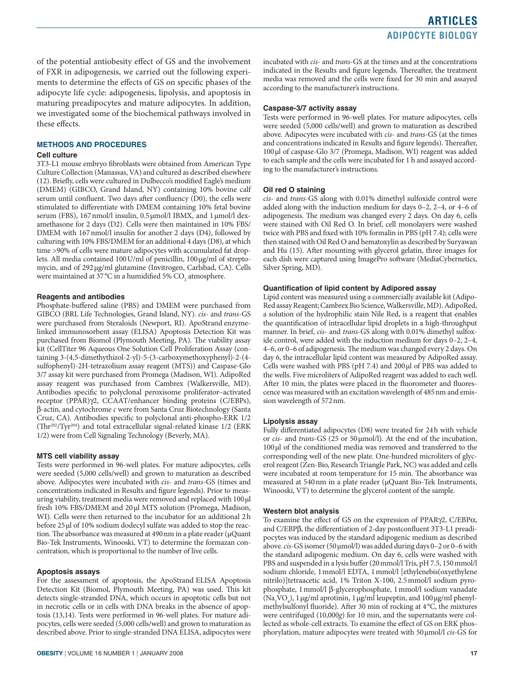of the potential antiobesity effect of GS and the involvement of FXR in adipogenesis, we carried out the following experiments to determine the effects of GS on specific phases of the adipocyte life cycle: adipogenesis, lipolysis, and apoptosis in maturing preadipocytes and mature adipocytes. In addition, we investigated some of the biochemical pathways involved in these effects.

### **Methods and Procedures**

#### **Cell culture**

3T3-L1 mouse embryo fibroblasts were obtained from American Type Culture Collection (Manassas, VA) and cultured as described elsewhere (12). Briefly, cells were cultured in Dulbecco's modified Eagle's medium (DMEM) (GIBCO, Grand Island, NY) containing 10% bovine calf serum until confluent. Two days after confluency (D0), the cells were stimulated to differentiate with DMEM containing 10% fetal bovine serum (FBS), 167nmol/l insulin, 0.5 µmol/l IBMX, and 1 µmol/l dexamethasone for 2 days (D2). Cells were then maintained in 10% FBS/ DMEM with 167 nmol/l insulin for another 2 days (D4), followed by culturing with 10% FBS/DMEM for an additional 4 days (D8), at which time >90% of cells were mature adipocytes with accumulated fat droplets. All media contained 100 U/ml of penicillin, 100 μg/ml of streptomycin, and of 292µg/ml glutamine (Invitrogen, Carlsbad, CA). Cells were maintained at 37 °C in a humidified 5%  $\mathrm{CO}_\mathrm{2}$  atmosphere.

#### **Reagents and antibodies**

Phosphate-buffered saline (PBS) and DMEM were purchased from GIBCO (BRL Life Technologies, Grand Island, NY). *cis*- and *trans*-GS were purchased from Steraloids (Newport, RI). ApoStrand enzymelinked immunosorbent assay (ELISA) Apoptosis Detection Kit was purchased from Biomol (Plymouth Meeting, PA). The viability assay kit (CellTiter 96 Aqueous One Solution Cell Proliferation Assay (containing 3-(4,5-dimethythizol-2-yl)-5-(3-carboxymethoxyphenyl)-2-(4 sulfophenyl)-2H-tetrazolium assay reagent (MTS)) and Caspase-Glo 3/7 assay kit were purchased from Promega (Madison, WI). AdipoRed assay reagent was purchased from Cambrex (Walkersville, MD). Antibodies specific to polyclonal peroxisome proliferator–activated receptor (PPAR)γ2, CCAAT/enhancer binding proteins (C/EBPs), β-actin, and cytochrome *c* were from Santa Cruz Biotechnology (Santa Cruz, CA). Antibodies specific to polyclonal anti-phospho-ERK 1/2 (Thr202/Tyr204) and total extracellular signal-related kinase 1/2 (ERK 1/2) were from Cell Signaling Technology (Beverly, MA).

# **MTS cell viability assay**

Tests were performed in 96-well plates. For mature adipocytes, cells were seeded (5,000 cells/well) and grown to maturation as described above. Adipocytes were incubated with *cis*- and *trans*-GS (times and concentrations indicated in Results and figure legends). Prior to measuring viability, treatment media were removed and replaced with 100µl fresh 10% FBS/DMEM and 20µl MTS solution (Promega, Madison, WI). Cells were then returned to the incubator for an additional 2h before 25 µl of 10% sodium dodecyl sulfate was added to stop the reaction. The absorbance was measured at 490nm in a plate reader (µQuant Bio-Tek Instruments, Winooski, VT) to determine the formazan concentration, which is proportional to the number of live cells.

#### **Apoptosis assays**

For the assessment of apoptosis, the ApoStrand ELISA Apoptosis Detection Kit (Biomol, Plymouth Meeting, PA) was used. This kit detects single-stranded DNA, which occurs in apoptotic cells but not in necrotic cells or in cells with DNA breaks in the absence of apoptosis (13,14). Tests were performed in 96-well plates. For mature adipocytes, cells were seeded (5,000 cells/well) and grown to maturation as described above. Prior to single-stranded DNA ELISA, adipocytes were incubated with *cis*- and *trans*-GS at the times and at the concentrations indicated in the Results and figure legends. Thereafter, the treatment media was removed and the cells were fixed for 30 min and assayed according to the manufacturer's instructions.

#### **Caspase-3/7 activity assay**

Tests were performed in 96-well plates. For mature adipocytes, cells were seeded (5,000 cells/well) and grown to maturation as described above. Adipocytes were incubated with *cis*- and *trans*-GS (at the times and concentrations indicated in Results and figure legends). Thereafter, 100µl of caspase-Glo 3/7 (Promega, Madison, WI) reagent was added to each sample and the cells were incubated for 1 h and assayed according to the manufacturer's instructions.

### **Oil red O staining**

*cis*- and *trans*-GS along with 0.01% dimethyl sulfoxide control were added along with the induction medium for days 0–2, 2–4, or 4–6 of adipogenesis. The medium was changed every 2 days. On day 6, cells were stained with Oil Red O. In brief, cell monolayers were washed twice with PBS and fixed with 10% formalin in PBS (pH 7.4); cells were then stained with Oil Red O and hematoxylin as described by Suryawan and Hu (15). After mounting with glycerol gelatin, three images for each dish were captured using ImagePro software (MediaCybernetics, Silver Spring, MD).

#### **Quantification of lipid content by Adipored assay**

Lipid content was measured using a commercially available kit (Adipo-Red assay Reagent; Cambrex Bio Science, Walkersville, MD). AdipoRed, a solution of the hydrophilic stain Nile Red, is a reagent that enables the quantification of intracellular lipid droplets in a high-throughput manner. In brief, *cis*- and *trans*-GS along with 0.01% dimethyl sulfoxide control, were added with the induction medium for days 0–2, 2–4, 4–6, or 0–6 of adipogenesis. The medium was changed every 2 days. On day 6, the intracellular lipid content was measured by AdipoRed assay. Cells were washed with PBS ( $pH$  7.4) and 200 $\mu$ l of PBS was added to the wells. Five microliters of AdipoRed reagent was added to each well. After 10 min, the plates were placed in the fluorometer and fluorescence was measured with an excitation wavelength of 485nm and emission wavelength of 572nm.

#### **Lipolysis assay**

Fully differentiated adipocytes (D8) were treated for 24h with vehicle or *cis*- and *trans*-GS (25 or 50µmol/l). At the end of the incubation, 100µl of the conditioned media was removed and transferred to the corresponding well of the new plate. One-hundred microliters of glycerol reagent (Zen-Bio, Research Triangle Park, NC) was added and cells were incubated at room temperature for 15 min. The absorbance was measured at 540nm in a plate reader (µQuant Bio-Tek Instruments, Winooski, VT) to determine the glycerol content of the sample.

#### **Western blot analysis**

To examine the effect of GS on the expression of PPARγ2, C/EBPα, and C/EBPβ, the differentiation of 2-day postconfluent 3T3-L1 preadipocytes was induced by the standard adipogenic medium as described above. *cis*-GS isomer (50µmol/l) was added during days 0–2 or 0–6 with the standard adipogenic medium. On day 6, cells were washed with PBS and suspended in a lysis buffer (20mmol/l Tris, pH 7.5, 150mmol/l sodium chloride, 1mmol/l EDTA, 1mmol/l [ethylenebis(oxyethylene nitrilo)]tetraacetic acid, 1% Triton X-100, 2.5mmol/l sodium pyrophosphate, 1mmol/l β-glycerophosphate, 1mmol/l sodium vanadate ( $\text{Na}_3\text{VO}_4$ ), 1 µg/ml aprotinin, 1 µg/ml leupeptin, and 100 µg/ml phenylmethylsulfonyl fluoride). After 30 min of rocking at 4°C, the mixtures were centrifuged (10,000*g*) for 10 min, and the supernatants were collected as whole-cell extracts. To examine the effect of GS on ERK phosphorylation, mature adipocytes were treated with 50µmol/l *cis*-GS for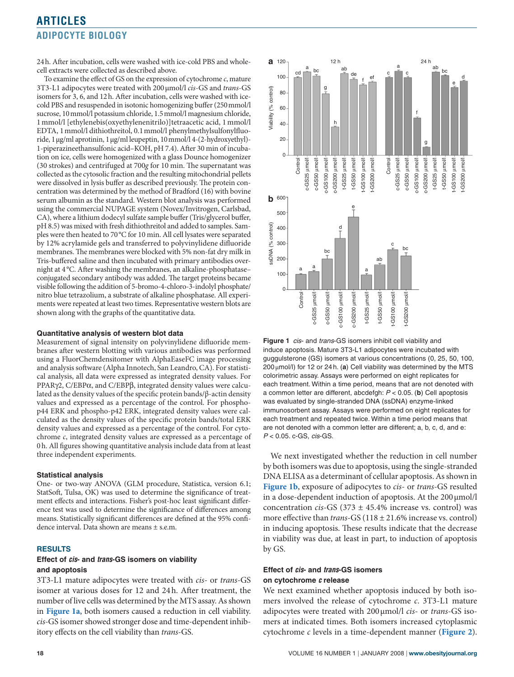24h. After incubation, cells were washed with ice-cold PBS and wholecell extracts were collected as described above.

To examine the effect of GS on the expression of cytochrome *c*, mature 3T3-L1 adipocytes were treated with 200µmol/l *cis*-GS and *trans*-GS isomers for 3, 6, and 12h. After incubation, cells were washed with icecold PBS and resuspended in isotonic homogenizing buffer (250mmol/l sucrose, 10mmol/l potassium chloride, 1.5mmol/l magnesium chloride, 1mmol/l [ethylenebis(oxyethylenenitrilo)]tetraacetic acid, 1mmol/l EDTA, 1mmol/l dithiothreitol, 0.1mmol/l phenylmethylsulfonylfluoride, 1µg/ml aprotinin, 1µg/ml leupeptin, 10mmol/l 4-(2-hydroxyethyl)- 1-piperazineethansulfonic acid–KOH, pH 7.4). After 30 min of incubation on ice, cells were homogenized with a glass Dounce homogenizer (30 strokes) and centrifuged at 700*g* for 10 min. The supernatant was collected as the cytosolic fraction and the resulting mitochondrial pellets were dissolved in lysis buffer as described previously. The protein concentration was determined by the method of Bradford (16) with bovine serum albumin as the standard. Western blot analysis was performed using the commercial NUPAGE system (Novex/Invitrogen, Carlsbad, CA), where a lithium dodecyl sulfate sample buffer (Tris/glycerol buffer, pH 8.5) was mixed with fresh dithiothreitol and added to samples. Samples were then heated to 70°C for 10 min. All cell lysates were separated by 12% acrylamide gels and transferred to polyvinylidene difluoride membranes. The membranes were blocked with 5% non-fat dry milk in Tris-buffered saline and then incubated with primary antibodies overnight at 4°C. After washing the membranes, an alkaline-phosphatase– conjugated secondary antibody was added. The target proteins became visible following the addition of 5-bromo-4-chloro-3-indolyl phosphate/ nitro blue tetrazolium, a substrate of alkaline phosphatase. All experiments were repeated at least two times. Representative western blots are shown along with the graphs of the quantitative data.

#### **Quantitative analysis of western blot data**

Measurement of signal intensity on polyvinylidene difluoride membranes after western blotting with various antibodies was performed using a FluorChemdensitomer with AlphaEaseFC image processing and analysis software (Alpha Innotech, San Leandro, CA). For statistical analysis, all data were expressed as integrated density values. For PPARγ2, C/EBPα, and C/EBPβ, integrated density values were calculated as the density values of the specific protein bands/β-actin density values and expressed as a percentage of the control. For phosphop44 ERK and phospho-p42 ERK, integrated density values were calculated as the density values of the specific protein bands/total ERK density values and expressed as a percentage of the control. For cytochrome *c*, integrated density values are expressed as a percentage of 0h. All figures showing quantitative analysis include data from at least three independent experiments.

#### **Statistical analysis**

One- or two-way ANOVA (GLM procedure, Statistica, version 6.1; StatSoft, Tulsa, OK) was used to determine the significance of treatment effects and interactions. Fisher's post-hoc least significant difference test was used to determine the significance of differences among means. Statistically significant differences are defined at the 95% confidence interval. Data shown are means ± s.e.m.

#### **Results**

# **Effect of** *cis***- and** *trans***-GS isomers on viability and apoptosis**

3T3-L1 mature adipocytes were treated with *cis*- or *trans*-GS isomer at various doses for 12 and 24h. After treatment, the number of live cells was determined by the MTS assay. As shown in **Figure 1a**, both isomers caused a reduction in cell viability. *cis*-GS isomer showed stronger dose and time-dependent inhibitory effects on the cell viability than *trans*-GS.



**Figure 1** *cis*- and *trans*-GS isomers inhibit cell viability and induce apoptosis. Mature 3T3-L1 adipocytes were incubated with guggulsterone (GS) isomers at various concentrations (0, 25, 50, 100,  $200 \mu$ mol/l) for 12 or 24 h. (a) Cell viability was determined by the MTS colorimetric assay. Assays were performed on eight replicates for each treatment. Within a time period, means that are not denoted with a common letter are different, abcdefgh: *P* < 0.05. (**b**) Cell apoptosis was evaluated by single-stranded DNA (ssDNA) enzyme-linked immunosorbent assay. Assays were performed on eight replicates for each treatment and repeated twice. Within a time period means that are not denoted with a common letter are different; a, b, c, d, and e: *P* < 0.05. c-GS, *cis*-GS.

We next investigated whether the reduction in cell number by both isomers was due to apoptosis, using the single-stranded DNA ELISA as a determinant of cellular apoptosis. As shown in **Figure 1b**, exposure of adipocytes to *cis*- or *trans*-GS resulted in a dose-dependent induction of apoptosis. At the  $200 \mu$ mol/l concentration *cis*-GS (373 ± 45.4% increase vs. control) was more effective than *trans*-GS (118 ± 21.6% increase vs. control) in inducing apoptosis. These results indicate that the decrease in viability was due, at least in part, to induction of apoptosis by GS.

# **Effect of** *cis***- and** *trans***-GS isomers on cytochrome** *c* **release**

We next examined whether apoptosis induced by both isomers involved the release of cytochrome *c*. 3T3-L1 mature adipocytes were treated with 200µmol/l *cis*- or *trans*-GS isomers at indicated times. Both isomers increased cytoplasmic cytochrome *c* levels in a time-dependent manner (**[Figure 2](#page-3-0)**).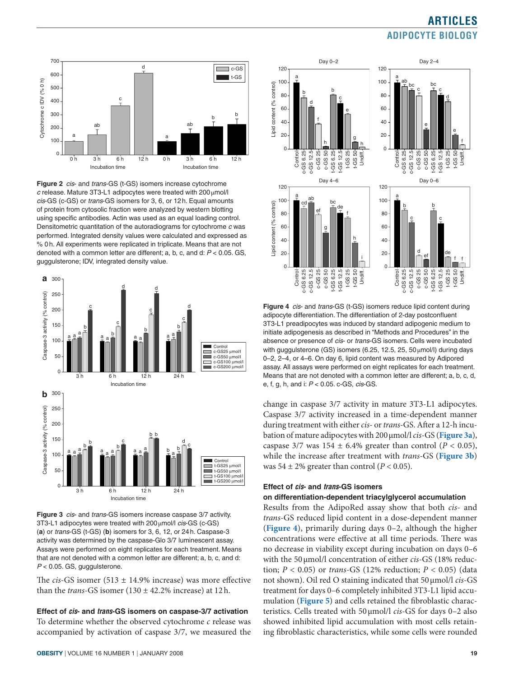<span id="page-3-0"></span>

**Figure 2** *cis*- and *trans*-GS (t-GS) isomers increase cytochrome *c* release. Mature 3T3-L1 adipocytes were treated with 200µmol/l *cis*-GS (c-GS) or *trans*-GS isomers for 3, 6, or 12h. Equal amounts of protein from cytosolic fraction were analyzed by western blotting using specific antibodies. Actin was used as an equal loading control. Densitometric quantitation of the autoradiograms for cytochrome *c* was performed. Integrated density values were calculated and expressed as % 0h. All experiments were replicated in triplicate. Means that are not denoted with a common letter are different; a, b, c, and d: *P* < 0.05. GS, guggulsterone; IDV, integrated density value.





The *cis*-GS isomer (513 ± 14.9% increase) was more effective than the *trans*-GS isomer  $(130 \pm 42.2\%$  increase) at 12h.

**Effect of** *cis***- and** *trans***-GS isomers on caspase-3/7 activation** To determine whether the observed cytochrome *c* release was accompanied by activation of caspase 3/7, we measured the



**Figure 4** *cis*- and *trans*-GS (t-GS) isomers reduce lipid content during adipocyte differentiation. The differentiation of 2-day postconfluent 3T3-L1 preadipocytes was induced by standard adipogenic medium to initiate adipogenesis as described in "Methods and Procedures" in the absence or presence of *cis*- or *trans*-GS isomers. Cells were incubated with guggulsterone (GS) isomers (6.25, 12.5, 25, 50  $\mu$ mol/l) during days 0–2, 2–4, or 4–6. On day 6, lipid content was measured by Adipored assay. All assays were performed on eight replicates for each treatment. Means that are not denoted with a common letter are different; a, b, c, d, e, f, g, h, and i: *P* < 0.05. c-GS, *cis*-GS.

change in caspase 3/7 activity in mature 3T3-L1 adipocytes. Caspase 3/7 activity increased in a time-dependent manner during treatment with either *cis*- or *trans*-GS. After a 12-h incubation of mature adipocytes with 200µmol/l *cis*-GS (**Figure 3a**), caspase  $3/7$  was  $154 \pm 6.4\%$  greater than control ( $P < 0.05$ ), while the increase after treatment with *trans*-GS (**Figure 3b**) was  $54 \pm 2\%$  greater than control ( $P < 0.05$ ).

# **Effect of** *cis***- and** *trans***-GS isomers**

# **on differentiation-dependent triacylglycerol accumulation**

Results from the AdipoRed assay show that both *cis*- and *trans*-GS reduced lipid content in a dose-dependent manner (**Figure 4**), primarily during days 0–2, although the higher concentrations were effective at all time periods. There was no decrease in viability except during incubation on days 0–6 with the 50 µmol/l concentration of either *cis*-GS (18% reduction;  $P < 0.05$ ) or *trans-GS* (12% reduction;  $P < 0.05$ ) (data not shown). Oil red O staining indicated that 50µmol/l *cis*-GS treatment for days 0–6 completely inhibited 3T3-L1 lipid accumulation (**[Figure 5](#page-4-0)**) and cells retained the fibroblastic characteristics. Cells treated with 50µmol/l *cis*-GS for days 0–2 also showed inhibited lipid accumulation with most cells retaining fibroblastic characteristics, while some cells were rounded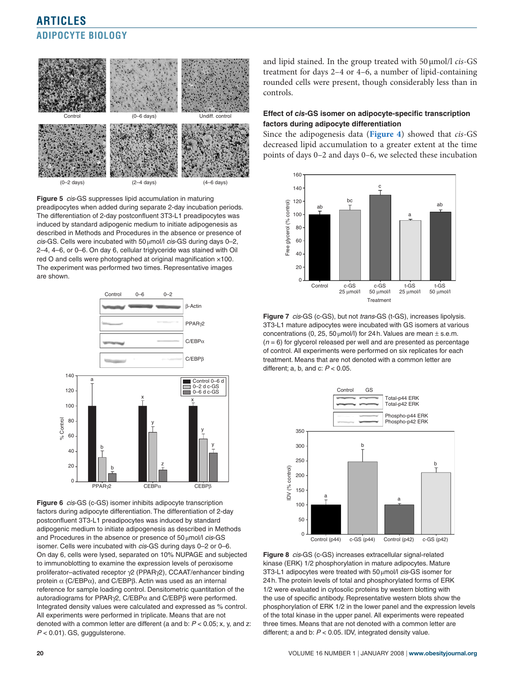<span id="page-4-0"></span>

**Figure 5** *cis*-GS suppresses lipid accumulation in maturing preadipocytes when added during separate 2-day incubation periods. The differentiation of 2-day postconfluent 3T3-L1 preadipocytes was induced by standard adipogenic medium to initiate adipogenesis as described in Methods and Procedures in the absence or presence of *cis*-GS. Cells were incubated with 50µmol/l *cis*-GS during days 0–2, 2–4, 4–6, or 0–6. On day 6, cellular triglyceride was stained with Oil red O and cells were photographed at original magnification ×100. The experiment was performed two times. Representative images are shown.



**Figure 6** *cis*-GS (c-GS) isomer inhibits adipocyte transcription factors during adipocyte differentiation. The differentiation of 2-day postconfluent 3T3-L1 preadipocytes was induced by standard adipogenic medium to initiate adipogenesis as described in Methods and Procedures in the absence or presence of 50µmol/l *cis*-GS isomer. Cells were incubated with *cis*-GS during days 0–2 or 0–6. On day 6, cells were lysed, separated on 10% NUPAGE and subjected to immunoblotting to examine the expression levels of peroxisome proliferator–activated receptor γ2 (PPARγ2), CCAAT/enhancer binding protein α (C/EBPα), and C/EBPβ. Actin was used as an internal reference for sample loading control. Densitometric quantitation of the autoradiograms for PPARγ2, C/EBP $α$  and C/EBP $β$  were performed. Integrated density values were calculated and expressed as % control. All experiments were performed in triplicate. Means that are not denoted with a common letter are different (a and b: *P* < 0.05; x, y, and z: *P* < 0.01). GS, guggulsterone.

and lipid stained. In the group treated with 50µmol/l *cis*-GS treatment for days 2–4 or 4–6, a number of lipid-containing rounded cells were present, though considerably less than in controls.

# **Effect of** *cis***-GS isomer on adipocyte-specific transcription factors during adipocyte differentiation**

Since the adipogenesis data (**[Figure 4](#page-3-0)**) showed that *cis*-GS decreased lipid accumulation to a greater extent at the time points of days 0–2 and days 0–6, we selected these incubation



**Figure 7** *cis*-GS (c-GS), but not *trans*-GS (t-GS), increases lipolysis. 3T3-L1 mature adipocytes were incubated with GS isomers at various concentrations (0, 25, 50  $\mu$ mol/l) for 24h. Values are mean  $\pm$  s.e.m. (*n* = 6) for glycerol released per well and are presented as percentage of control. All experiments were performed on six replicates for each treatment. Means that are not denoted with a common letter are different; a, b, and c: *P* < 0.05.



**Figure 8** *cis*-GS (c-GS) increases extracellular signal-related kinase (ERK) 1/2 phosphorylation in mature adipocytes. Mature 3T3-L1 adipocytes were treated with 50µmol/l *cis*-GS isomer for 24h. The protein levels of total and phosphorylated forms of ERK 1/2 were evaluated in cytosolic proteins by western blotting with the use of specific antibody. Representative western blots show the phosphorylation of ERK 1/2 in the lower panel and the expression levels of the total kinase in the upper panel. All experiments were repeated three times. Means that are not denoted with a common letter are different; a and b: *P* < 0.05. IDV, integrated density value.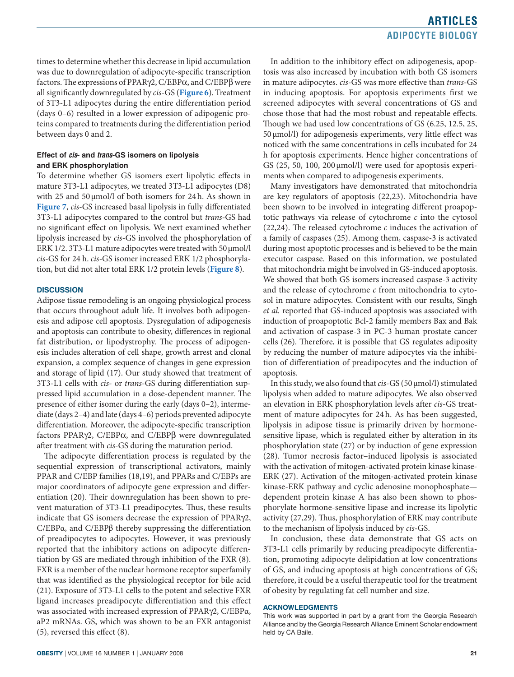times to determine whether this decrease in lipid accumulation was due to downregulation of adipocyte-specific transcription factors. The expressions of PPARγ2, C/EBPα, and C/EBPβ were all significantly downregulated by *cis*-GS (**[Figure](#page-4-0) 6**). Treatment of 3T3-L1 adipocytes during the entire differentiation period (days 0–6) resulted in a lower expression of adipogenic proteins compared to treatments during the differentiation period between days 0 and 2.

# **Effect of** *cis***- and** *trans***-GS isomers on lipolysis and ERK phosphorylation**

To determine whether GS isomers exert lipolytic effects in mature 3T3-L1 adipocytes, we treated 3T3-L1 adipocytes (D8) with 25 and 50 µmol/l of both isomers for 24h. As shown in **[Figure 7](#page-4-0)**, *cis*-GS increased basal lipolysis in fully differentiated 3T3-L1 adipocytes compared to the control but *trans*-GS had no significant effect on lipolysis. We next examined whether lipolysis increased by *cis*-GS involved the phosphorylation of ERK 1/2. 3T3-L1 mature adipocytes were treated with 50 µmol/l *cis*-GS for 24 h. *cis*-GS isomer increased ERK 1/2 phosphorylation, but did not alter total ERK 1/2 protein levels (**[Figure 8](#page-4-0)**).

# **Discussion**

Adipose tissue remodeling is an ongoing physiological process that occurs throughout adult life. It involves both adipogenesis and adipose cell apoptosis. Dysregulation of adipogenesis and apoptosis can contribute to obesity, differences in regional fat distribution, or lipodystrophy. The process of adipogenesis includes alteration of cell shape, growth arrest and clonal expansion, a complex sequence of changes in gene expression and storage of lipid (17). Our study showed that treatment of 3T3-L1 cells with *cis*- or *trans*-GS during differentiation suppressed lipid accumulation in a dose-dependent manner. The presence of either isomer during the early (days 0–2), intermediate (days 2–4) and late (days 4–6) periods prevented adipocyte differentiation. Moreover, the adipocyte-specific transcription factors PPARγ2, C/EBPα, and C/EBPβ were downregulated after treatment with *cis*-GS during the maturation period.

The adipocyte differentiation process is regulated by the sequential expression of transcriptional activators, mainly PPAR and C/EBP families (18,19), and PPARs and C/EBPs are major coordinators of adipocyte gene expression and differentiation (20). Their downregulation has been shown to prevent maturation of 3T3-L1 preadipocytes. Thus, these results indicate that GS isomers decrease the expression of PPARγ2, C/EBPα, and C/EBPβ thereby suppressing the differentiation of preadipocytes to adipocytes. However, it was previously reported that the inhibitory actions on adipocyte differentiation by GS are mediated through inhibition of the FXR (8). FXR is a member of the nuclear hormone receptor superfamily that was identified as the physiological receptor for bile acid (21). Exposure of 3T3-L1 cells to the potent and selective FXR ligand increases preadipocyte differentiation and this effect was associated with increased expression of PPARγ2, C/EBPα, aP2 mRNAs. GS, which was shown to be an FXR antagonist (5), reversed this effect (8).

In addition to the inhibitory effect on adipogenesis, apoptosis was also increased by incubation with both GS isomers in mature adipocytes. *cis*-GS was more effective than *trans*-GS in inducing apoptosis. For apoptosis experiments first we screened adipocytes with several concentrations of GS and chose those that had the most robust and repeatable effects. Though we had used low concentrations of GS (6.25, 12.5, 25, 50µmol/l) for adipogenesis experiments, very little effect was noticed with the same concentrations in cells incubated for 24 h for apoptosis experiments. Hence higher concentrations of GS (25, 50, 100, 200 μmol/l) were used for apoptosis experiments when compared to adipogenesis experiments.

Many investigators have demonstrated that mitochondria are key regulators of apoptosis (22,23). Mitochondria have been shown to be involved in integrating different proapoptotic pathways via release of cytochrome *c* into the cytosol (22,24). The released cytochrome *c* induces the activation of a family of caspases (25). Among them, caspase-3 is activated during most apoptotic processes and is believed to be the main executor caspase. Based on this information, we postulated that mitochondria might be involved in GS-induced apoptosis. We showed that both GS isomers increased caspase-3 activity and the release of cytochrome *c* from mitochondria to cytosol in mature adipocytes. Consistent with our results, Singh *et al.* reported that GS-induced apoptosis was associated with induction of proapoptotic Bcl-2 family members Bax and Bak and activation of caspase-3 in PC-3 human prostate cancer cells (26). Therefore, it is possible that GS regulates adiposity by reducing the number of mature adipocytes via the inhibition of differentiation of preadipocytes and the induction of apoptosis.

In this study, we also found that *cis*-GS (50µmol/l) stimulated lipolysis when added to mature adipocytes. We also observed an elevation in ERK phosphorylation levels after *cis*-GS treatment of mature adipocytes for 24h. As has been suggested, lipolysis in adipose tissue is primarily driven by hormonesensitive lipase, which is regulated either by alteration in its phosphorylation state (27) or by induction of gene expression (28). Tumor necrosis factor–induced lipolysis is associated with the activation of mitogen-activated protein kinase kinase-ERK (27). Activation of the mitogen-activated protein kinase kinase-ERK pathway and cyclic adenosine monophosphate dependent protein kinase A has also been shown to phosphorylate hormone-sensitive lipase and increase its lipolytic activity (27,29). Thus, phosphorylation of ERK may contribute to the mechanism of lipolysis induced by *cis*-GS.

In conclusion, these data demonstrate that GS acts on 3T3-L1 cells primarily by reducing preadipocyte differentiation, promoting adipocyte delipidation at low concentrations of GS, and inducing apoptosis at high concentrations of GS; therefore, it could be a useful therapeutic tool for the treatment of obesity by regulating fat cell number and size.

#### **Acknowledgments**

This work was supported in part by a grant from the Georgia Research Alliance and by the Georgia Research Alliance Eminent Scholar endowment held by CA Baile.